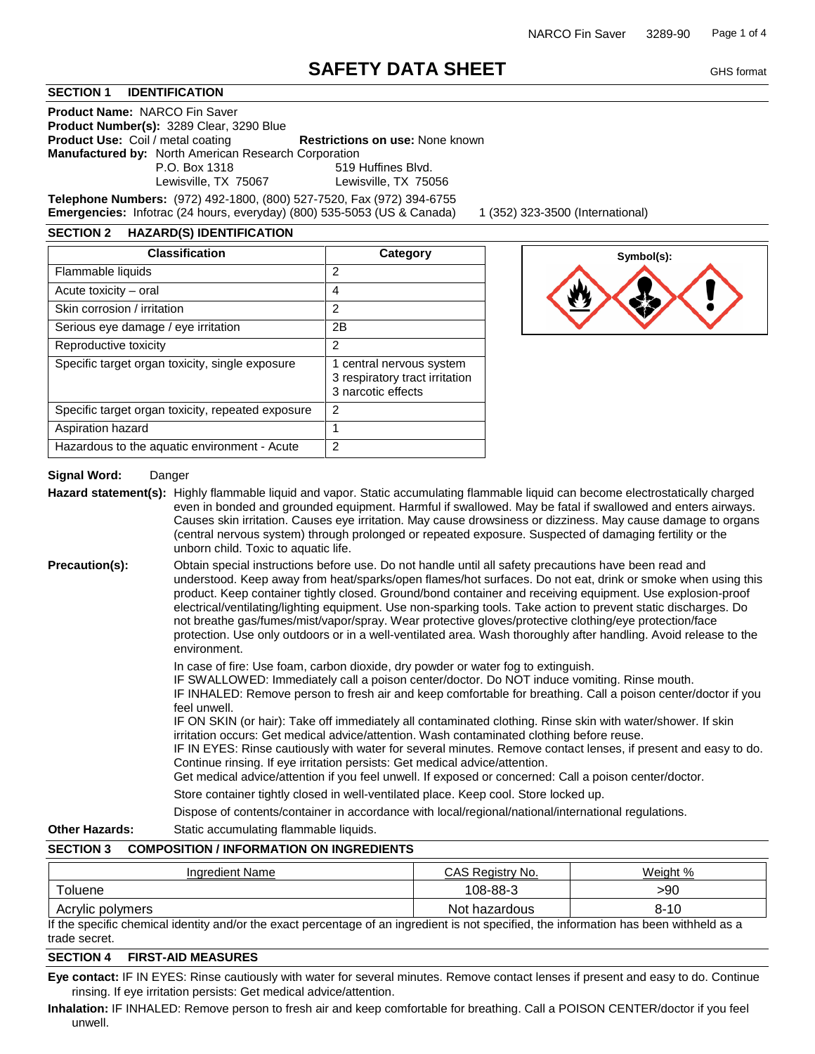# **SAFETY DATA SHEET**

## **SECTION 1 IDENTIFICATION**

**Product Name:** NARCO Fin Saver **Product Number(s):** 3289 Clear, 3290 Blue **Product Use:** Coil / metal coating **Restrictions on use:** None known **Manufactured by:** North American Research Corporation P.O. Box 1318 519 Huffines Blvd. Lewisville, TX 75067 Lewisville, TX 75056

**Telephone Numbers:** (972) 492-1800, (800) 527-7520, Fax (972) 394-6755 **Emergencies:** Infotrac (24 hours, everyday) (800) 535-5053 (US & Canada) 1 (352) 323-3500 (International)

## **SECTION 2 HAZARD(S) IDENTIFICATION**

| <b>Classification</b>                             | Category                                                                         |
|---------------------------------------------------|----------------------------------------------------------------------------------|
| Flammable liquids                                 | 2                                                                                |
| Acute toxicity – oral                             | 4                                                                                |
| Skin corrosion / irritation                       | 2                                                                                |
| Serious eye damage / eye irritation               | 2B                                                                               |
| Reproductive toxicity                             | 2                                                                                |
| Specific target organ toxicity, single exposure   | 1 central nervous system<br>3 respiratory tract irritation<br>3 narcotic effects |
| Specific target organ toxicity, repeated exposure | $\mathcal{P}$                                                                    |
| Aspiration hazard                                 | 1                                                                                |
| Hazardous to the aquatic environment - Acute      | 2                                                                                |



## **Signal Word:** Danger

Hazard statement(s): Highly flammable liquid and vapor. Static accumulating flammable liquid can become electrostatically charged even in bonded and grounded equipment. Harmful if swallowed. May be fatal if swallowed and enters airways. Causes skin irritation. Causes eye irritation. May cause drowsiness or dizziness. May cause damage to organs (central nervous system) through prolonged or repeated exposure. Suspected of damaging fertility or the unborn child. Toxic to aquatic life.

**Precaution(s):** Obtain special instructions before use. Do not handle until all safety precautions have been read and understood. Keep away from heat/sparks/open flames/hot surfaces. Do not eat, drink or smoke when using this product. Keep container tightly closed. Ground/bond container and receiving equipment. Use explosion-proof electrical/ventilating/lighting equipment. Use non-sparking tools. Take action to prevent static discharges. Do not breathe gas/fumes/mist/vapor/spray. Wear protective gloves/protective clothing/eye protection/face protection. Use only outdoors or in a well-ventilated area. Wash thoroughly after handling. Avoid release to the environment.

In case of fire: Use foam, carbon dioxide, dry powder or water fog to extinguish.

IF SWALLOWED: Immediately call a poison center/doctor. Do NOT induce vomiting. Rinse mouth. IF INHALED: Remove person to fresh air and keep comfortable for breathing. Call a poison center/doctor if you feel unwell.

IF ON SKIN (or hair): Take off immediately all contaminated clothing. Rinse skin with water/shower. If skin irritation occurs: Get medical advice/attention. Wash contaminated clothing before reuse.

IF IN EYES: Rinse cautiously with water for several minutes. Remove contact lenses, if present and easy to do. Continue rinsing. If eye irritation persists: Get medical advice/attention.

Get medical advice/attention if you feel unwell. If exposed or concerned: Call a poison center/doctor.

Store container tightly closed in well-ventilated place. Keep cool. Store locked up.

Dispose of contents/container in accordance with local/regional/national/international regulations.

## **Other Hazards:** Static accumulating flammable liquids.

#### **SECTION 3 COMPOSITION / INFORMATION ON INGREDIENTS**

| Ingredient Name  | CAS Registry No. | Weight % |
|------------------|------------------|----------|
| Toluene          | 108-88-3         | >90      |
| Acrylic polymers | Not hazardous    | $8 - 10$ |

If the specific chemical identity and/or the exact percentage of an ingredient is not specified, the information has been withheld as a trade secret.

## **SECTION 4 FIRST-AID MEASURES**

**Eye contact:** IF IN EYES: Rinse cautiously with water for several minutes. Remove contact lenses if present and easy to do. Continue rinsing. If eye irritation persists: Get medical advice/attention.

**Inhalation:** IF INHALED: Remove person to fresh air and keep comfortable for breathing. Call a POISON CENTER/doctor if you feel unwell.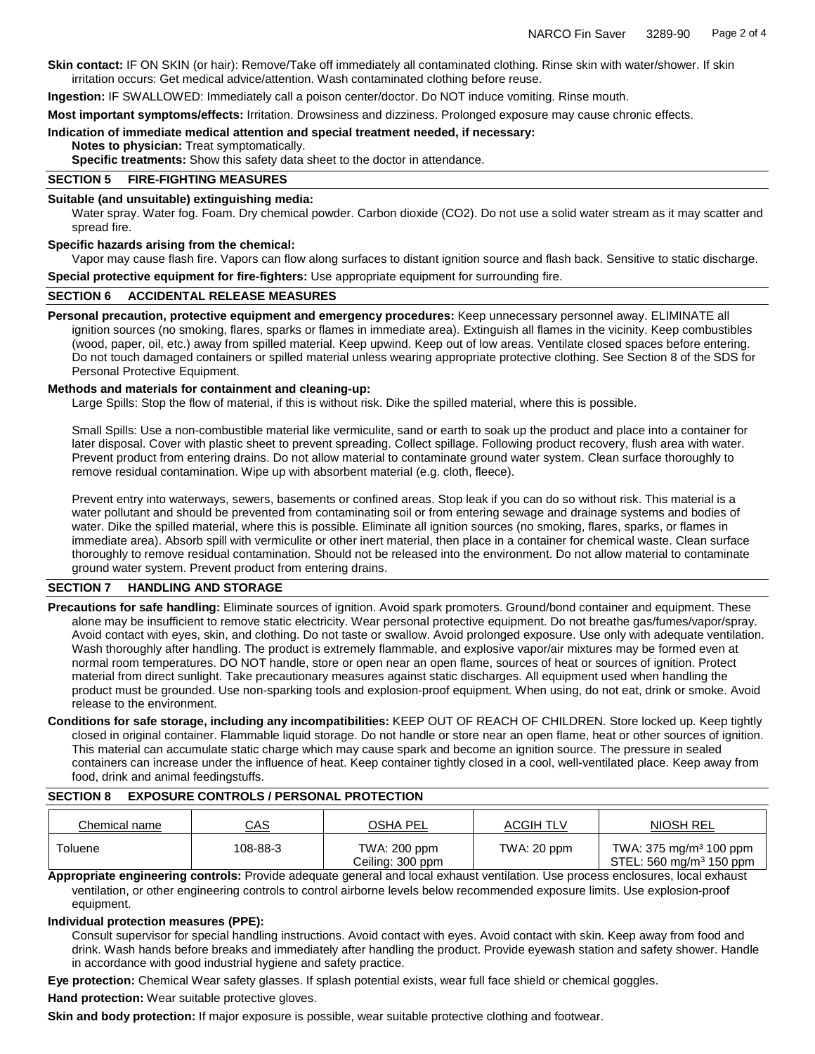**Skin contact:** IF ON SKIN (or hair): Remove/Take off immediately all contaminated clothing. Rinse skin with water/shower. If skin irritation occurs: Get medical advice/attention. Wash contaminated clothing before reuse.

**Ingestion:** IF SWALLOWED: Immediately call a poison center/doctor. Do NOT induce vomiting. Rinse mouth.

**Most important symptoms/effects:** Irritation. Drowsiness and dizziness. Prolonged exposure may cause chronic effects.

#### **Indication of immediate medical attention and special treatment needed, if necessary:**

**Notes to physician:** Treat symptomatically.

**Specific treatments:** Show this safety data sheet to the doctor in attendance.

## **SECTION 5 FIRE-FIGHTING MEASURES**

#### **Suitable (and unsuitable) extinguishing media:**

Water spray. Water fog. Foam. Dry chemical powder. Carbon dioxide (CO2). Do not use a solid water stream as it may scatter and spread fire.

#### **Specific hazards arising from the chemical:**

Vapor may cause flash fire. Vapors can flow along surfaces to distant ignition source and flash back. Sensitive to static discharge. **Special protective equipment for fire-fighters:** Use appropriate equipment for surrounding fire.

#### **SECTION 6 ACCIDENTAL RELEASE MEASURES**

**Personal precaution, protective equipment and emergency procedures:** Keep unnecessary personnel away. ELIMINATE all ignition sources (no smoking, flares, sparks or flames in immediate area). Extinguish all flames in the vicinity. Keep combustibles (wood, paper, oil, etc.) away from spilled material. Keep upwind. Keep out of low areas. Ventilate closed spaces before entering. Do not touch damaged containers or spilled material unless wearing appropriate protective clothing. See Section 8 of the SDS for Personal Protective Equipment.

#### **Methods and materials for containment and cleaning-up:**

Large Spills: Stop the flow of material, if this is without risk. Dike the spilled material, where this is possible.

Small Spills: Use a non-combustible material like vermiculite, sand or earth to soak up the product and place into a container for later disposal. Cover with plastic sheet to prevent spreading. Collect spillage. Following product recovery, flush area with water. Prevent product from entering drains. Do not allow material to contaminate ground water system. Clean surface thoroughly to remove residual contamination. Wipe up with absorbent material (e.g. cloth, fleece).

Prevent entry into waterways, sewers, basements or confined areas. Stop leak if you can do so without risk. This material is a water pollutant and should be prevented from contaminating soil or from entering sewage and drainage systems and bodies of water. Dike the spilled material, where this is possible. Eliminate all ignition sources (no smoking, flares, sparks, or flames in immediate area). Absorb spill with vermiculite or other inert material, then place in a container for chemical waste. Clean surface thoroughly to remove residual contamination. Should not be released into the environment. Do not allow material to contaminate ground water system. Prevent product from entering drains.

## **SECTION 7 HANDLING AND STORAGE**

**Precautions for safe handling:** Eliminate sources of ignition. Avoid spark promoters. Ground/bond container and equipment. These alone may be insufficient to remove static electricity. Wear personal protective equipment. Do not breathe gas/fumes/vapor/spray. Avoid contact with eyes, skin, and clothing. Do not taste or swallow. Avoid prolonged exposure. Use only with adequate ventilation. Wash thoroughly after handling. The product is extremely flammable, and explosive vapor/air mixtures may be formed even at normal room temperatures. DO NOT handle, store or open near an open flame, sources of heat or sources of ignition. Protect material from direct sunlight. Take precautionary measures against static discharges. All equipment used when handling the product must be grounded. Use non-sparking tools and explosion-proof equipment. When using, do not eat, drink or smoke. Avoid release to the environment.

**Conditions for safe storage, including any incompatibilities:** KEEP OUT OF REACH OF CHILDREN. Store locked up. Keep tightly closed in original container. Flammable liquid storage. Do not handle or store near an open flame, heat or other sources of ignition. This material can accumulate static charge which may cause spark and become an ignition source. The pressure in sealed containers can increase under the influence of heat. Keep container tightly closed in a cool, well-ventilated place. Keep away from food, drink and animal feedingstuffs.

#### **SECTION 8 EXPOSURE CONTROLS / PERSONAL PROTECTION**

| Chemical name | <u>CAS</u> | OSHA PEL                         | <b>ACGIH TLV</b> | <b>NIOSH REL</b>                                                          |
|---------------|------------|----------------------------------|------------------|---------------------------------------------------------------------------|
| Toluene       | 108-88-3   | TWA: 200 ppm<br>Ceiling: 300 ppm | TWA: 20 ppm      | TWA: 375 mg/m <sup>3</sup> 100 ppm<br>STEL: 560 mg/m <sup>3</sup> 150 ppm |

**Appropriate engineering controls:** Provide adequate general and local exhaust ventilation. Use process enclosures, local exhaust ventilation, or other engineering controls to control airborne levels below recommended exposure limits. Use explosion-proof equipment.

#### **Individual protection measures (PPE):**

Consult supervisor for special handling instructions. Avoid contact with eyes. Avoid contact with skin. Keep away from food and drink. Wash hands before breaks and immediately after handling the product. Provide eyewash station and safety shower. Handle in accordance with good industrial hygiene and safety practice.

**Eye protection:** Chemical Wear safety glasses. If splash potential exists, wear full face shield or chemical goggles. **Hand protection:** Wear suitable protective gloves.

**Skin and body protection:** If major exposure is possible, wear suitable protective clothing and footwear.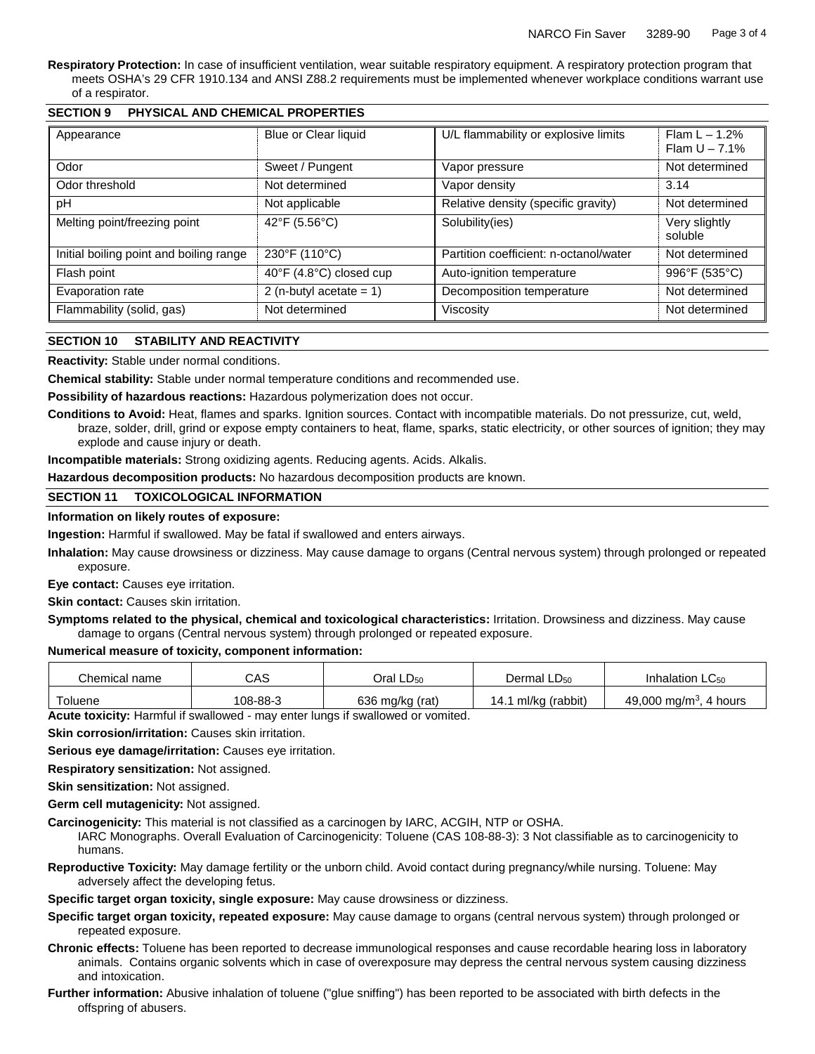**Respiratory Protection:** In case of insufficient ventilation, wear suitable respiratory equipment. A respiratory protection program that meets OSHA's 29 CFR 1910.134 and ANSI Z88.2 requirements must be implemented whenever workplace conditions warrant use of a respirator.

| Appearance                                    | Blue or Clear liquid       | U/L flammability or explosive limits   | Flam $L - 1.2%$<br>Flam $U - 7.1%$ |
|-----------------------------------------------|----------------------------|----------------------------------------|------------------------------------|
| Odor                                          | Sweet / Pungent            | Vapor pressure                         | Not determined                     |
| Odor threshold                                | Not determined             |                                        | 3.14                               |
| pH                                            | Not applicable             | Relative density (specific gravity)    | Not determined                     |
| Melting point/freezing point<br>42°F (5.56°C) |                            | Solubility(ies)                        | Very slightly<br>soluble           |
| Initial boiling point and boiling range       | 230°F (110°C)              | Partition coefficient: n-octanol/water | Not determined                     |
| Flash point                                   | 40°F (4.8°C) closed cup    | Auto-ignition temperature              | 996°F (535°C)                      |
| Evaporation rate                              | 2 (n-butyl acetate = $1$ ) | Decomposition temperature              | Not determined                     |
| Flammability (solid, gas)                     | Not determined             | Viscosity                              | Not determined                     |

## **SECTION 9 PHYSICAL AND CHEMICAL PROPERTIES**

## **SECTION 10 STABILITY AND REACTIVITY**

**Reactivity:** Stable under normal conditions.

**Chemical stability:** Stable under normal temperature conditions and recommended use.

**Possibility of hazardous reactions:** Hazardous polymerization does not occur.

**Conditions to Avoid:** Heat, flames and sparks. Ignition sources. Contact with incompatible materials. Do not pressurize, cut, weld, braze, solder, drill, grind or expose empty containers to heat, flame, sparks, static electricity, or other sources of ignition; they may explode and cause injury or death.

**Incompatible materials:** Strong oxidizing agents. Reducing agents. Acids. Alkalis.

**Hazardous decomposition products:** No hazardous decomposition products are known.

## **SECTION 11 TOXICOLOGICAL INFORMATION**

## **Information on likely routes of exposure:**

**Ingestion:** Harmful if swallowed. May be fatal if swallowed and enters airways.

**Inhalation:** May cause drowsiness or dizziness. May cause damage to organs (Central nervous system) through prolonged or repeated exposure.

**Eye contact:** Causes eye irritation.

**Skin contact:** Causes skin irritation.

**Symptoms related to the physical, chemical and toxicological characteristics:** Irritation. Drowsiness and dizziness. May cause damage to organs (Central nervous system) through prolonged or repeated exposure.

## **Numerical measure of toxicity, component information:**

| Chemical name | CAS      | Oral LD <sub>50</sub> | Dermal $LD_{50}$      | Inhalation $LC_{50}$                  |
|---------------|----------|-----------------------|-----------------------|---------------------------------------|
| Toluene       | 108-88-3 | 636 mg/kg (rat)       | ml/kg (rabbit)<br>14. | 49,000 mg/m <sup>3</sup> .<br>4 hours |

**Acute toxicity:** Harmful if swallowed - may enter lungs if swallowed or vomited.

**Skin corrosion/irritation:** Causes skin irritation.

**Serious eye damage/irritation:** Causes eye irritation.

**Respiratory sensitization:** Not assigned.

**Skin sensitization:** Not assigned.

**Germ cell mutagenicity:** Not assigned.

**Carcinogenicity:** This material is not classified as a carcinogen by IARC, ACGIH, NTP or OSHA.

IARC Monographs. Overall Evaluation of Carcinogenicity: Toluene (CAS 108-88-3): 3 Not classifiable as to carcinogenicity to humans.

**Reproductive Toxicity:** May damage fertility or the unborn child. Avoid contact during pregnancy/while nursing. Toluene: May adversely affect the developing fetus.

**Specific target organ toxicity, single exposure:** May cause drowsiness or dizziness.

- **Specific target organ toxicity, repeated exposure:** May cause damage to organs (central nervous system) through prolonged or repeated exposure.
- **Chronic effects:** Toluene has been reported to decrease immunological responses and cause recordable hearing loss in laboratory animals. Contains organic solvents which in case of overexposure may depress the central nervous system causing dizziness and intoxication.
- **Further information:** Abusive inhalation of toluene ("glue sniffing") has been reported to be associated with birth defects in the offspring of abusers.